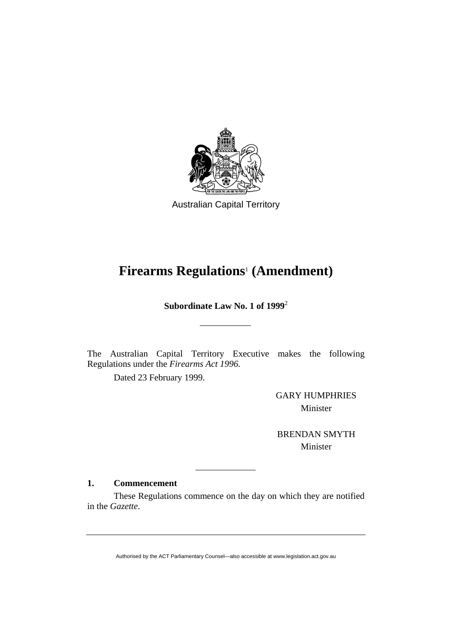

Australian Capital Territory

# **Firearms Regulations**<sup>1</sup>  **(Amendment)**

**Subordinate Law No. 1 of 1999**<sup>2</sup>

The Australian Capital Territory Executive makes the following Regulations under the *Firearms Act 1996.*

Dated 23 February 1999.

GARY HUMPHRIES Minister

BRENDAN SMYTH Minister

## **1. Commencement**

 These Regulations commence on the day on which they are notified in the *Gazette*.

Authorised by the ACT Parliamentary Counsel—also accessible at www.legislation.act.gov.au